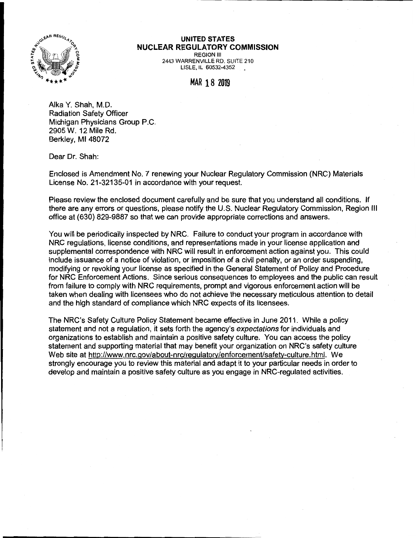

## **UNITED STATES NUCLEAR REGULATORY COMMISSION**

REGION Ill 2443 WARRENVILLE RD. SUITE 210 LISLE, IL 60532-4352

## MAR 18 **<sup>2019</sup>**

Alka Y. Shah, M.D. Radiation Safety Officer Michigan Physicians Group P.C. 2905 W. 12 Mile Rd. Berkley, Ml 48072

Dear Dr. Shah:

Enclosed is Amendment No. 7 renewing your Nuclear Regulatory Commission (NRC) Materials License No. 21-32135-01 in accordance with your request.

Please review the enclosed document carefully and be sure that you understand all conditions. If there are any errors or questions, please notify the U.S. Nuclear Regulatory Commission, Region Ill office at (630) 829-9887 so that we can provide appropriate corrections and answers.

You will be periodically inspected by NRC. Failure to conduct your program in accordance with NRC regulations, license conditions, and representations made in your license application and supplemental correspondence with NRC will result in enforcement action against you. This could include issuance of a notice of violation, or imposition of a civil penalty, or an order suspending, modifying or revoking your license as specified in the General Statement of Policy and Procedure for NRC Enforcement Actions. Since serious consequences to employees and the public can result from failure to comply with NRC requirements, prompt and vigorous enforcement action will be taken when dealing with licensees who do not achieve the necessary meticulous attention to detail and the high standard of compliance which NRC expects of its licensees.

The NRC's Safety Culture Policy Statement became effective in June 2011. While a policy statement and not a regulation, it sets forth the agency's expectations for individuals and organizations to establish and maintain a positive safety culture. You can access the policy statement and supporting material that may benefit your organization on NRC's safety culture Web site at http://www.nrc.gov/about-nrc/regulatory/enforcement/safety-culture.html. We strongly encourage you to review this material and adapt it to your particular needs in order to develop and maintain a positive safety culture as you engage in NRC-regulated activities.